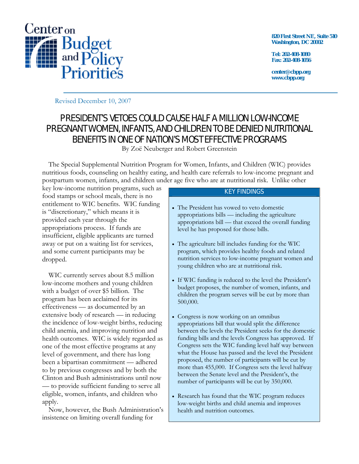

**820 First Street NE, Suite 510 Washington, DC 20002** 

**Tel: 202-408-1080 Fax: 202-408-1056** 

**center@cbpp.org www.cbpp.org** 

Revised December 10, 2007

# PRESIDENT'S VETOES COULD CAUSE HALF A MILLION LOW-INCOME PREGNANT WOMEN, INFANTS, AND CHILDREN TO BE DENIED NUTRITIONAL BENEFITS IN ONE OF NATION'S MOST EFFECTIVE PROGRAMS

By Zoё Neuberger and Robert Greenstein

 The Special Supplemental Nutrition Program for Women, Infants, and Children (WIC) provides nutritious foods, counseling on healthy eating, and health care referrals to low-income pregnant and postpartum women, infants, and children under age five who are at nutritional risk. Unlike other

key low-income nutrition programs, such as food stamps or school meals, there is no entitlement to WIC benefits. WIC funding is "discretionary," which means it is provided each year through the appropriations process. If funds are insufficient, eligible applicants are turned away or put on a waiting list for services, and some current participants may be dropped.

 WIC currently serves about 8.5 million low-income mothers and young children with a budget of over \$5 billion. The program has been acclaimed for its effectiveness — as documented by an extensive body of research — in reducing the incidence of low-weight births, reducing child anemia, and improving nutrition and health outcomes. WIC is widely regarded as one of the most effective programs at any level of government, and there has long been a bipartisan commitment — adhered to by previous congresses and by both the Clinton and Bush administrations until now — to provide sufficient funding to serve all eligible, women, infants, and children who apply.

 Now, however, the Bush Administration's insistence on limiting overall funding for

### KEY FINDINGS

- The President has vowed to veto domestic appropriations bills — including the agriculture appropriations bill — that exceed the overall funding level he has proposed for those bills.
- The agriculture bill includes funding for the WIC program, which provides healthy foods and related nutrition services to low-income pregnant women and young children who are at nutritional risk.
- If WIC funding is reduced to the level the President's budget proposes, the number of women, infants, and children the program serves will be cut by more than 500,000.
- Congress is now working on an omnibus appropriations bill that would split the difference between the levels the President seeks for the domestic funding bills and the levels Congress has approved. If Congress sets the WIC funding level half way between what the House has passed and the level the President proposed, the number of participants will be cut by more than 455,000. If Congress sets the level halfway between the Senate level and the President's, the number of participants will be cut by 350,000.
- Research has found that the WIC program reduces low-weight births and child anemia and improves health and nutrition outcomes.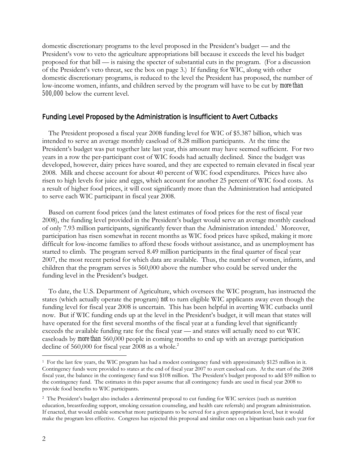domestic discretionary programs to the level proposed in the President's budget — and the President's vow to veto the agriculture appropriations bill because it exceeds the level his budget proposed for that bill — is raising the specter of substantial cuts in the program. (For a discussion of the President's veto threat, see the box on page 3.) If funding for WIC, along with other domestic discretionary programs, is reduced to the level the President has proposed, the number of low-income women, infants, and children served by the program will have to be cut by *more than 500,000* below the current level.

#### Funding Level Proposed by the Administration is Insufficient to Avert Cutbacks

 The President proposed a fiscal year 2008 funding level for WIC of \$5.387 billion, which was intended to serve an average monthly caseload of 8.28 million participants. At the time the President's budget was put together late last year, this amount may have seemed sufficient. For two years in a row the per-participant cost of WIC foods had actually declined. Since the budget was developed, however, dairy prices have soared, and they are expected to remain elevated in fiscal year 2008. Milk and cheese account for about 40 percent of WIC food expenditures. Prices have also risen to high levels for juice and eggs, which account for another 25 percent of WIC food costs. As a result of higher food prices, it will cost significantly more than the Administration had anticipated to serve each WIC participant in fiscal year 2008.

 Based on current food prices (and the latest estimates of food prices for the rest of fiscal year 2008), the funding level provided in the President's budget would serve an average monthly caseload of only 7.93 million participants, significantly fewer than the Administration intended.<sup>1</sup> Moreover, participation has risen somewhat in recent months as WIC food prices have spiked, making it more difficult for low-income families to afford these foods without assistance, and as unemployment has started to climb. The program served 8.49 million participants in the final quarter of fiscal year 2007, the most recent period for which data are available. Thus, the number of women, infants, and children that the program serves is 560,000 above the number who could be served under the funding level in the President's budget.

 To date, the U.S. Department of Agriculture, which oversees the WIC program, has instructed the states (which actually operate the program) *not* to turn eligible WIC applicants away even though the funding level for fiscal year 2008 is uncertain. This has been helpful in averting WIC cutbacks until now. But if WIC funding ends up at the level in the President's budget, it will mean that states will have operated for the first several months of the fiscal year at a funding level that significantly exceeds the available funding rate for the fiscal year — and states will actually need to cut WIC caseloads by *more than* 560,000 people in coming months to end up with an average participation decline of 560,000 for fiscal year 2008 as a whole.<sup>2</sup>

 $\overline{a}$ 

<sup>1</sup> For the last few years, the WIC program has had a modest contingency fund with approximately \$125 million in it. Contingency funds were provided to states at the end of fiscal year 2007 to avert caseload cuts. At the start of the 2008 fiscal year, the balance in the contingency fund was \$108 million. The President's budget proposed to add \$59 million to the contingency fund. The estimates in this paper assume that all contingency funds are used in fiscal year 2008 to provide food benefits to WIC participants.

<sup>2</sup> The President's budget also includes a detrimental proposal to cut funding for WIC services (such as nutrition education, breastfeeding support, smoking cessation counseling, and health care referrals) and program administration. If enacted, that would enable somewhat more participants to be served for a given appropriation level, but it would make the program less effective. Congress has rejected this proposal and similar ones on a bipartisan basis each year for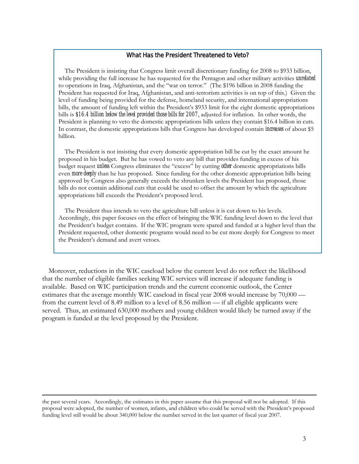### What Has the President Threatened to Veto?

 The President is insisting that Congress limit overall discretionary funding for 2008 to \$933 billion, while providing the full increase he has requested for the Pentagon and other military activities *unrelated*  to operations in Iraq, Afghanistan, and the "war on terror." (The \$196 billion in 2008 funding the President has requested for Iraq, Afghanistan, and anti-terrorism activities is on top of this.) Given the level of funding being provided for the defense, homeland security, and international appropriations bills, the amount of funding left within the President's \$933 limit for the eight domestic appropriations bills is *\$16.4 billion below the level provided those bills for 2007*, adjusted for inflation. In other words, the President is planning to veto the domestic appropriations bills unless they contain \$16.4 billion in cuts. In contrast, the domestic appropriations bills that Congress has developed contain *increases* of about \$5 billion.

 The President is not insisting that every domestic appropriation bill be cut by the exact amount he proposed in his budget. But he has vowed to veto any bill that provides funding in excess of his budget request *unless* Congress eliminates the "excess" by cutting *other* domestic appropriations bills even *more deeply* than he has proposed. Since funding for the other domestic appropriation bills being approved by Congress also generally exceeds the shrunken levels the President has proposed, those bills do not contain additional cuts that could be used to offset the amount by which the agriculture appropriations bill exceeds the President's proposed level.

 The President thus intends to veto the agriculture bill unless it is cut down to his levels. Accordingly, this paper focuses on the effect of bringing the WIC funding level down to the level that the President's budget contains. If the WIC program were spared and funded at a higher level than the President requested, other domestic programs would need to be cut more deeply for Congress to meet the President's demand and avert vetoes.

 Moreover, reductions in the WIC caseload below the current level do not reflect the likelihood that the number of eligible families seeking WIC services will increase if adequate funding is available. Based on WIC participation trends and the current economic outlook, the Center estimates that the average monthly WIC caseload in fiscal year 2008 would increase by 70,000 from the current level of 8.49 million to a level of 8.56 million — if all eligible applicants were served. Thus, an estimated 630,000 mothers and young children would likely be turned away if the program is funded at the level proposed by the President.

the past several years. Accordingly, the estimates in this paper assume that this proposal will not be adopted. If this proposal were adopted, the number of women, infants, and children who could be served with the President's proposed funding level still would be about 340,000 below the number served in the last quarter of fiscal year 2007.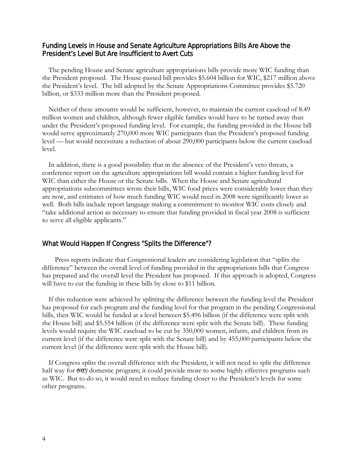## Funding Levels in House and Senate Agriculture Appropriations Bills Are Above the President's Level But Are Insufficient to Avert Cuts

 The pending House and Senate agriculture appropriations bills provide more WIC funding than the President proposed. The House-passed bill provides \$5.604 billion for WIC, \$217 million above the President's level. The bill adopted by the Senate Appropriations Committee provides \$5.720 billion, or \$333 million more than the President proposed.

 Neither of these amounts would be sufficient, however, to maintain the current caseload of 8.49 million women and children, although fewer eligible families would have to be turned away than under the President's proposed funding level. For example, the funding provided in the House bill would serve approximately 270,000 more WIC participants than the President's proposed funding level — but would necessitate a reduction of about 290,000 participants below the current caseload level.

 In addition, there is a good possibility that in the absence of the President's veto threats, a conference report on the agriculture appropriations bill would contain a higher funding level for WIC than either the House or the Senate bills. When the House and Senate agricultural appropriations subcommittees wrote their bills, WIC food prices were considerably lower than they are now, and estimates of how much funding WIC would need in 2008 were significantly lower as well. Both bills include report language making a commitment to monitor WIC costs closely and "take additional action as necessary to ensure that funding provided in fiscal year 2008 is sufficient to serve all eligible applicants."

### What Would Happen If Congress "Splits the Difference"?

 Press reports indicate that Congressional leaders are considering legislation that "splits the difference" between the overall level of funding provided in the appropriations bills that Congress has prepared and the overall level the President has proposed. If this approach is adopted, Congress will have to cut the funding in these bills by close to \$11 billion.

 If this reduction were achieved by splitting the difference between the funding level the President has proposed for each program and the funding level for that program in the pending Congressional bills, then WIC would be funded at a level between \$5.496 billion (if the difference were split with the House bill) and \$5.554 billion (if the difference were split with the Senate bill). These funding levels would require the WIC caseload to be cut by 350,000 women, infants, and children from its current level (if the difference were split with the Senate bill) and by 455,000 participants below the current level (if the difference were split with the House bill).

 If Congress splits the overall difference with the President, it will not need to split the difference half way for *every* domestic program; it could provide more to some highly effective programs such as WIC. But to do so, it would need to reduce funding closer to the President's levels for some other programs.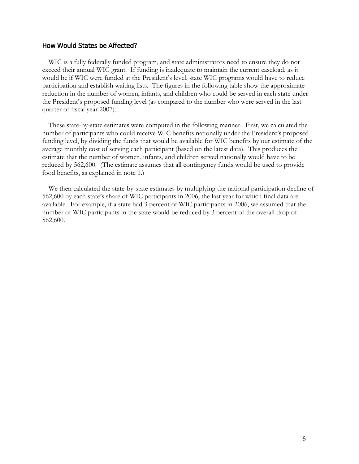## How Would States be Affected?

 WIC is a fully federally funded program, and state administrators need to ensure they do not exceed their annual WIC grant. If funding is inadequate to maintain the current caseload, as it would be if WIC were funded at the President's level, state WIC programs would have to reduce participation and establish waiting lists. The figures in the following table show the approximate reduction in the number of women, infants, and children who could be served in each state under the President's proposed funding level (as compared to the number who were served in the last quarter of fiscal year 2007).

 These state-by-state estimates were computed in the following manner. First, we calculated the number of participants who could receive WIC benefits nationally under the President's proposed funding level, by dividing the funds that would be available for WIC benefits by our estimate of the average monthly cost of serving each participant (based on the latest data). This produces the estimate that the number of women, infants, and children served nationally would have to be reduced by 562,600. (The estimate assumes that all contingency funds would be used to provide food benefits, as explained in note 1.)

 We then calculated the state-by-state estimates by multiplying the national participation decline of 562,600 by each state's share of WIC participants in 2006, the last year for which final data are available. For example, if a state had 3 percent of WIC participants in 2006, we assumed that the number of WIC participants in the state would be reduced by 3 percent of the overall drop of 562,600.